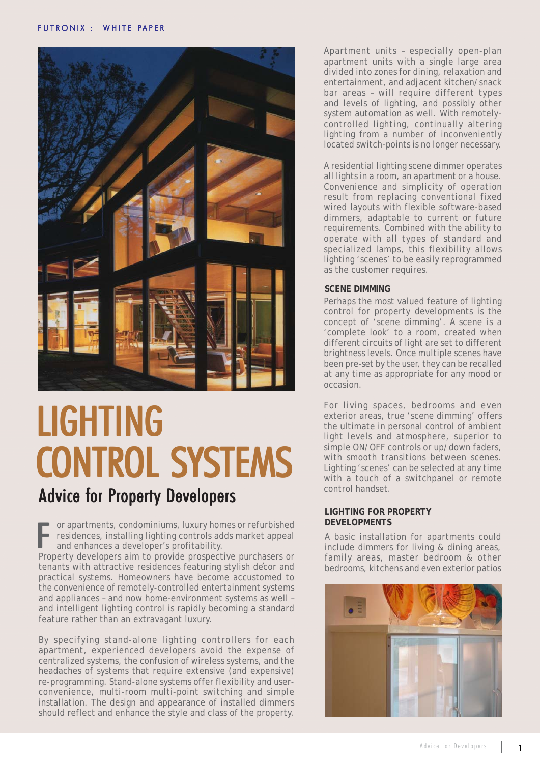

# LIGHTING **CONTROL SYSTEMS**

## Advice for Property Developers

or apartments, condominiums, luxury homes or refurbished residences, installing lighting controls adds market appeal and enhances a developer's profitability. Property developers aim to provide prospective purchasers or<br>Property developers aim to provide prospective purchasers or<br>Allen property developers aim to provide prospective purchasers or<br>Allen provide prospective purchas

tenants with attractive residences featuring stylish decor and practical systems. Homeowners have become accustomed to the convenience of remotely-controlled entertainment systems and appliances – and now home-environment systems as well – and intelligent lighting control is rapidly becoming a standard feature rather than an extravagant luxury.  $\frac{1}{1}$ 

By specifying stand-alone lighting controllers for each apartment, experienced developers avoid the expense of centralized systems, the confusion of wireless systems, and the headaches of systems that require extensive (and expensive) re-programming. Stand-alone systems offer flexibility and userconvenience, multi-room multi-point switching and simple installation. The design and appearance of installed dimmers should reflect and enhance the style and class of the property.

Apartment units – especially open-plan apartment units with a single large area divided into zones for dining, relaxation and entertainment, and adjacent kitchen/snack bar areas – will require different types and levels of lighting, and possibly other system automation as well. With remotelycontrolled lighting, continually altering lighting from a number of inconveniently located switch-points is no longer necessary.

A residential lighting scene dimmer operates all lights in a room, an apartment or a house. Convenience and simplicity of operation result from replacing conventional fixed wired layouts with flexible software-based dimmers, adaptable to current or future requirements. Combined with the ability to operate with all types of standard and specialized lamps, this flexibility allows lighting 'scenes' to be easily reprogrammed as the customer requires.

### **SCENE DIMMING**

Perhaps the most valued feature of lighting control for property developments is the concept of 'scene dimming'. A scene is a 'complete look' to a room, created when different circuits of light are set to different brightness levels. Once multiple scenes have been pre-set by the user, they can be recalled at any time as appropriate for any mood or occasion.

For living spaces, bedrooms and even exterior areas, true 'scene dimming' offers the ultimate in personal control of ambient light levels and atmosphere, superior to simple ON/OFF controls or up/down faders, with smooth transitions between scenes. Lighting 'scenes' can be selected at any time with a touch of a switchpanel or remote control handset.

#### **LIGHTING FOR PROPERTY DEVELOPMENTS**

A basic installation for apartments could include dimmers for living & dining areas, family areas, master bedroom & other bedrooms, kitchens and even exterior patios

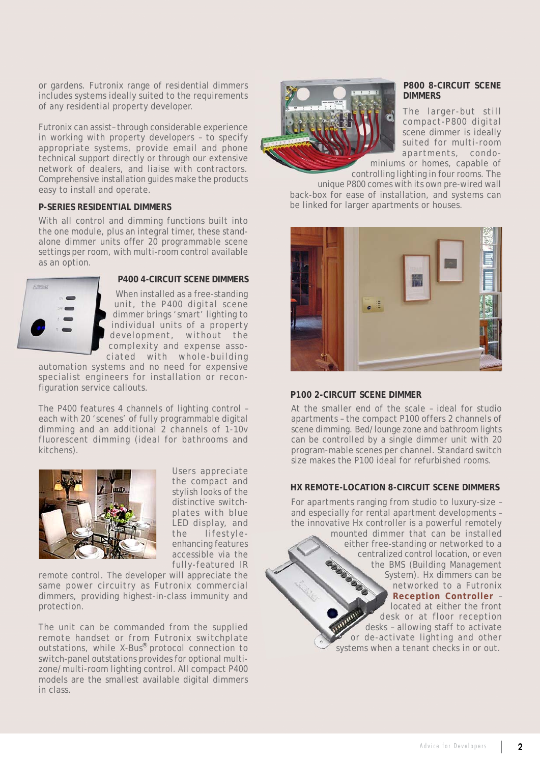or gardens. Futronix range of residential dimmers includes systems ideally suited to the requirements of any residential property developer.

Futronix can assist– through considerable experience in working with property developers – to specify appropriate systems, provide email and phone technical support directly or through our extensive network of dealers, and liaise with contractors. Comprehensive installation guides make the products easy to install and operate.

#### **P-SERIES RESIDENTIAL DIMMERS**

With all control and dimming functions built into the one module, plus an integral timer, these standalone dimmer units offer 20 programmable scene settings per room, with multi-room control available as an option.



#### **P400 4-CIRCUIT SCENE DIMMERS**

When installed as a free-standing unit, the P400 digital scene dimmer brings 'smart' lighting to individual units of a property development, without the complexity and expense associated with whole-building

automation systems and no need for expensive specialist engineers for installation or reconfiguration service callouts.

The P400 features 4 channels of lighting control – each with 20 'scenes' of fully programmable digital dimming and an additional 2 channels of 1-10v fluorescent dimming (ideal for bathrooms and kitchens).



Users appreciate the compact and stylish looks of the distinctive switchplates with blue LED display, and the lifestyleenhancing features accessible via the fully-featured IR

remote control. The developer will appreciate the same power circuitry as Futronix commercial dimmers, providing highest-in-class immunity and protection.

The unit can be commanded from the supplied remote handset or from Futronix switchplate outstations, while X-Bus® protocol connection to switch-panel outstations provides for optional multizone/multi-room lighting control. All compact P400 models are the smallest available digital dimmers in class.



#### **P800 8-CIRCUIT SCENE DIMMERS**

The larger-but still compact-P800 digital scene dimmer is ideally suited for multi-room apartments, condo-

miniums or homes, capable of controlling lighting in four rooms. The

unique P800 comes with its own pre-wired wall back-box for ease of installation, and systems can be linked for larger apartments or houses.



#### **P100 2-CIRCUIT SCENE DIMMER**

At the smaller end of the scale – ideal for studio apartments – the compact P100 offers 2 channels of scene dimming. Bed/lounge zone and bathroom lights can be controlled by a single dimmer unit with 20 program-mable scenes per channel. Standard switch size makes the P100 ideal for refurbished rooms.

#### **HX REMOTE-LOCATION 8-CIRCUIT SCENE DIMMERS**

For apartments ranging from studio to luxury-size – and especially for rental apartment developments – the innovative Hx controller is a powerful remotely mounted dimmer that can be installed either free-standing or networked to a centralized control location, or even the BMS (Building Management System). Hx dimmers can be networked to a Futronix **Reception Controller** – located at either the front desk or at floor reception desks – allowing staff to activate or de-activate lighting and other systems when a tenant checks in or out.